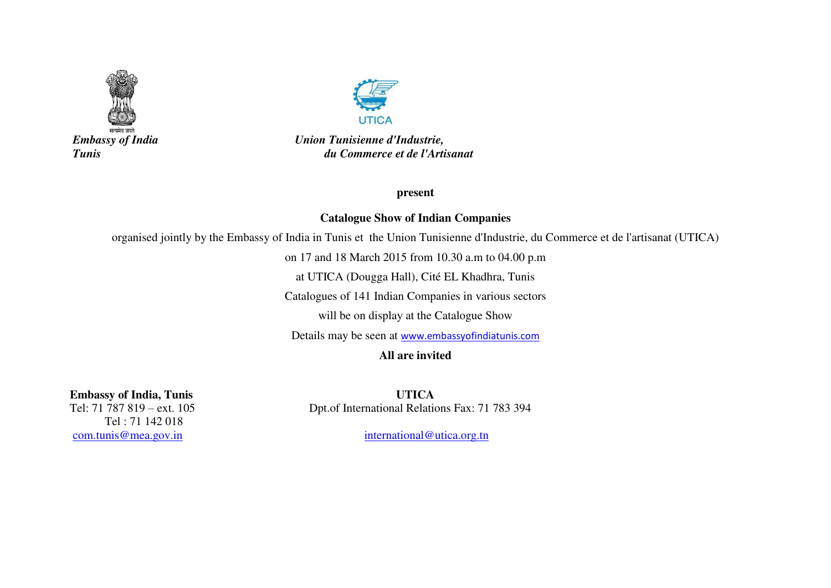



 *Embassy of India Union Tunisienne d'Industrie, Tunis du Commerce et de l'Artisanat* 

**present** 

## **Catalogue Show of Indian Companies**

organised jointly by the Embassy of India in Tunis et the Union Tunisienne d'Industrie, du Commerce et de l'artisanat (UTICA)

on 17 and 18 March 2015 from 10.30 a.m to 04.00 p.m

at UTICA (Dougga Hall), Cité EL Khadhra, Tunis

Catalogues of 141 Indian Companies in various sectors

will be on display at the Catalogue Show

Details may be seen at [www.embassyofindiatunis.com](http://www.embassyofindiatunis.com/)

## **All are invited**

 Tel : 71 142 018 [com.tunis@mea.gov.in](mailto:com.tunis@mea.gov.in) international@utica.org.tn

**Embassy of India, Tunis UTICA**<br>Tel: 71 787 819 – ext. 105 **D**pt. of International Relation Dpt.of International Relations Fax: 71 783 394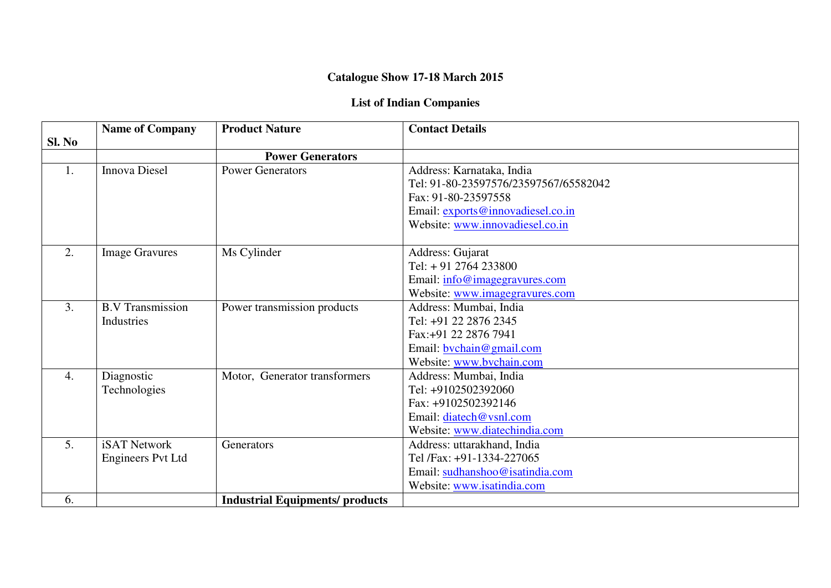## **Catalogue Show 17-18 March 2015**

## **List of Indian Companies**

|                  | <b>Name of Company</b>  | <b>Product Nature</b>                  | <b>Contact Details</b>                |
|------------------|-------------------------|----------------------------------------|---------------------------------------|
| Sl. No           |                         |                                        |                                       |
|                  |                         | <b>Power Generators</b>                |                                       |
| 1.               | <b>Innova Diesel</b>    | <b>Power Generators</b>                | Address: Karnataka, India             |
|                  |                         |                                        | Tel: 91-80-23597576/23597567/65582042 |
|                  |                         |                                        | Fax: 91-80-23597558                   |
|                  |                         |                                        | Email: exports@innovadiesel.co.in     |
|                  |                         |                                        | Website: www.innovadiesel.co.in       |
| 2.               | <b>Image Gravures</b>   | Ms Cylinder                            | Address: Gujarat                      |
|                  |                         |                                        | Tel: $+91$ 2764 233800                |
|                  |                         |                                        | Email: info@imagegravures.com         |
|                  |                         |                                        | Website: www.imagegravures.com        |
| 3.               | <b>B.V Transmission</b> | Power transmission products            | Address: Mumbai, India                |
|                  | Industries              |                                        | Tel: +91 22 2876 2345                 |
|                  |                         |                                        | Fax: +91 22 2876 7941                 |
|                  |                         |                                        | Email: bychain@gmail.com              |
|                  |                         |                                        | Website: www.bvchain.com              |
| $\overline{4}$ . | Diagnostic              | Motor, Generator transformers          | Address: Mumbai, India                |
|                  | Technologies            |                                        | Tel: +9102502392060                   |
|                  |                         |                                        | Fax: +9102502392146                   |
|                  |                         |                                        | Email: diatech@vsnl.com               |
|                  |                         |                                        | Website: www.diatechindia.com         |
| 5.               | <b>iSAT Network</b>     | Generators                             | Address: uttarakhand, India           |
|                  | Engineers Pvt Ltd       |                                        | Tel /Fax: +91-1334-227065             |
|                  |                         |                                        | Email: sudhanshoo@isatindia.com       |
|                  |                         |                                        | Website: www.isatindia.com            |
| 6.               |                         | <b>Industrial Equipments/ products</b> |                                       |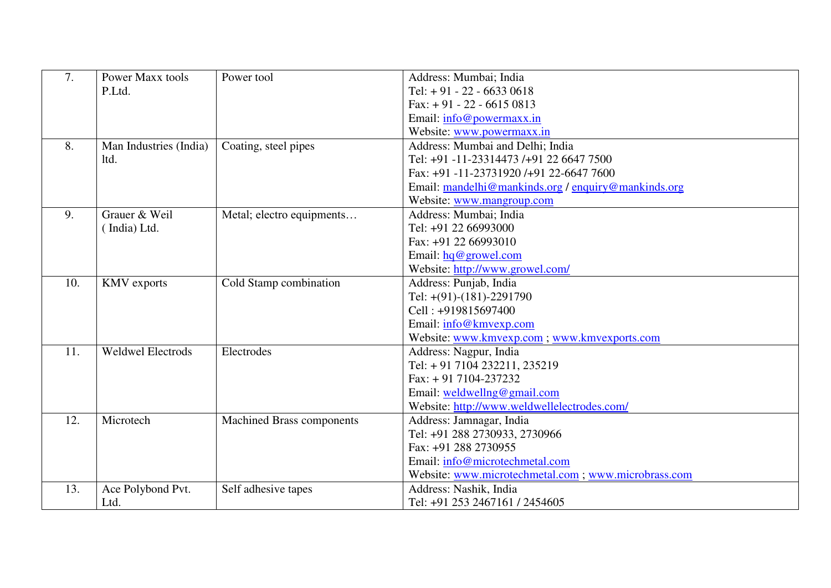| 7.  | Power Maxx tools         | Power tool                | Address: Mumbai; India                               |
|-----|--------------------------|---------------------------|------------------------------------------------------|
|     | P.Ltd.                   |                           | Tel: $+91 - 22 - 66330618$                           |
|     |                          |                           | Fax: $+91 - 22 - 66150813$                           |
|     |                          |                           | Email: info@powermaxx.in                             |
|     |                          |                           | Website: www.powermaxx.in                            |
| 8.  | Man Industries (India)   | Coating, steel pipes      | Address: Mumbai and Delhi; India                     |
|     | ltd.                     |                           | Tel: +91 -11-23314473 /+91 22 6647 7500              |
|     |                          |                           | Fax: +91 -11-23731920 /+91 22-6647 7600              |
|     |                          |                           | Email: mandelhi@mankinds.org / enquiry@mankinds.org  |
|     |                          |                           | Website: www.mangroup.com                            |
| 9.  | Grauer & Weil            | Metal; electro equipments | Address: Mumbai; India                               |
|     | (India) Ltd.             |                           | Tel: +91 22 66993000                                 |
|     |                          |                           | Fax: +91 22 66993010                                 |
|     |                          |                           | Email: $hq@$ growel.com                              |
|     |                          |                           | Website: http://www.growel.com/                      |
| 10. | <b>KMV</b> exports       | Cold Stamp combination    | Address: Punjab, India                               |
|     |                          |                           | Tel: $+(91)-(181)-2291790$                           |
|     |                          |                           | Cell: +919815697400                                  |
|     |                          |                           | Email: info@kmvexp.com                               |
|     |                          |                           | Website: www.kmvexp.com; www.kmvexports.com          |
| 11. | <b>Weldwel Electrods</b> | Electrodes                | Address: Nagpur, India                               |
|     |                          |                           | Tel: +91 7104 232211, 235219                         |
|     |                          |                           | $Fax: + 917104-237232$                               |
|     |                          |                           | Email: weldwellng@gmail.com                          |
|     |                          |                           | Website: http://www.weldwellelectrodes.com/          |
| 12. | Microtech                | Machined Brass components | Address: Jamnagar, India                             |
|     |                          |                           | Tel: +91 288 2730933, 2730966                        |
|     |                          |                           | Fax: +91 288 2730955                                 |
|     |                          |                           | Email: info@microtechmetal.com                       |
|     |                          |                           | Website: www.microtechmetal.com ; www.microbrass.com |
| 13. | Ace Polybond Pvt.        | Self adhesive tapes       | Address: Nashik, India                               |
|     | Ltd.                     |                           | Tel: +91 253 2467161 / 2454605                       |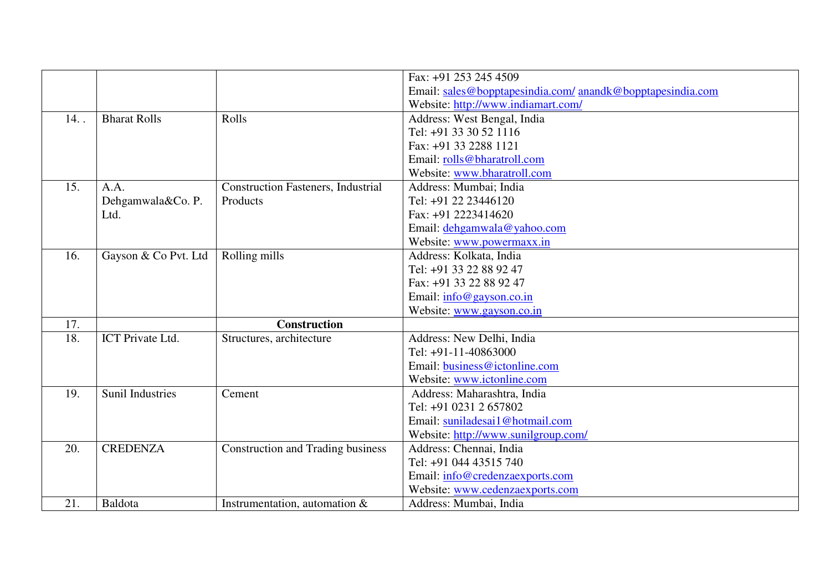|     |                         |                                           | Fax: +91 253 245 4509                                      |
|-----|-------------------------|-------------------------------------------|------------------------------------------------------------|
|     |                         |                                           | Email: sales@bopptapesindia.com/ anandk@bopptapesindia.com |
|     |                         |                                           | Website: http://www.indiamart.com/                         |
| 14. | <b>Bharat Rolls</b>     | Rolls                                     | Address: West Bengal, India                                |
|     |                         |                                           | Tel: +91 33 30 52 1116                                     |
|     |                         |                                           | Fax: +91 33 2288 1121                                      |
|     |                         |                                           | Email: rolls@bharatroll.com                                |
|     |                         |                                           | Website: www.bharatroll.com                                |
| 15. | A.A.                    | <b>Construction Fasteners, Industrial</b> | Address: Mumbai; India                                     |
|     | Dehgamwala&Co. P.       | Products                                  | Tel: +91 22 23446120                                       |
|     | Ltd.                    |                                           | Fax: +91 2223414620                                        |
|     |                         |                                           | Email: dehgamwala@yahoo.com                                |
|     |                         |                                           | Website: www.powermaxx.in                                  |
| 16. | Gayson & Co Pvt. Ltd    | Rolling mills                             | Address: Kolkata, India                                    |
|     |                         |                                           | Tel: +91 33 22 88 92 47                                    |
|     |                         |                                           | Fax: +91 33 22 88 92 47                                    |
|     |                         |                                           | Email: info@gayson.co.in                                   |
|     |                         |                                           | Website: www.gayson.co.in                                  |
| 17. |                         | <b>Construction</b>                       |                                                            |
| 18. | ICT Private Ltd.        | Structures, architecture                  | Address: New Delhi, India                                  |
|     |                         |                                           | Tel: +91-11-40863000                                       |
|     |                         |                                           | Email: business@ictonline.com                              |
|     |                         |                                           | Website: www.ictonline.com                                 |
| 19. | <b>Sunil Industries</b> | Cement                                    | Address: Maharashtra, India                                |
|     |                         |                                           | Tel: +91 0231 2 657802                                     |
|     |                         |                                           | Email: suniladesai1@hotmail.com                            |
|     |                         |                                           | Website: http://www.sunilgroup.com/                        |
| 20. | <b>CREDENZA</b>         | <b>Construction and Trading business</b>  | Address: Chennai, India                                    |
|     |                         |                                           | Tel: +91 044 43515 740                                     |
|     |                         |                                           | Email: info@credenzaexports.com                            |
|     |                         |                                           | Website: www.cedenzaexports.com                            |
| 21. | Baldota                 | Instrumentation, automation $\&$          | Address: Mumbai, India                                     |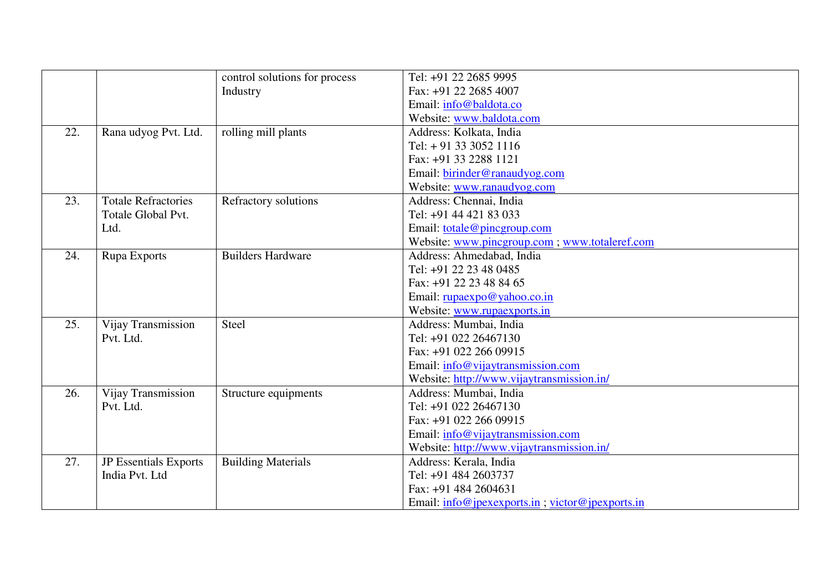|     |                            | control solutions for process | Tel: +91 22 2685 9995                                  |
|-----|----------------------------|-------------------------------|--------------------------------------------------------|
|     |                            | Industry                      | Fax: +91 22 2685 4007                                  |
|     |                            |                               | Email: info@baldota.co                                 |
|     |                            |                               | Website: www.baldota.com                               |
| 22. | Rana udyog Pvt. Ltd.       | rolling mill plants           | Address: Kolkata, India                                |
|     |                            |                               | Tel: $+91$ 33 3052 1116                                |
|     |                            |                               | Fax: +91 33 2288 1121                                  |
|     |                            |                               | Email: birinder@ranaudyog.com                          |
|     |                            |                               | Website: www.ranaudyog.com                             |
| 23. | <b>Totale Refractories</b> | Refractory solutions          | Address: Chennai, India                                |
|     | Totale Global Pvt.         |                               | Tel: +91 44 421 83 033                                 |
|     | Ltd.                       |                               | Email: totale@pincgroup.com                            |
|     |                            |                               | Website: www.pincgroup.com; www.totaleref.com          |
| 24. | Rupa Exports               | <b>Builders Hardware</b>      | Address: Ahmedabad, India                              |
|     |                            |                               | Tel: +91 22 23 48 0485                                 |
|     |                            |                               | Fax: +91 22 23 48 84 65                                |
|     |                            |                               | Email: rupaexpo@yahoo.co.in                            |
|     |                            |                               | Website: www.rupaexports.in                            |
| 25. | Vijay Transmission         | Steel                         | Address: Mumbai, India                                 |
|     | Pvt. Ltd.                  |                               | Tel: +91 022 26467130                                  |
|     |                            |                               | Fax: +91 022 266 09915                                 |
|     |                            |                               | Email: info@vijaytransmission.com                      |
|     |                            |                               | Website: http://www.vijaytransmission.in/              |
| 26. | Vijay Transmission         | Structure equipments          | Address: Mumbai, India                                 |
|     | Pvt. Ltd.                  |                               | Tel: +91 022 26467130                                  |
|     |                            |                               | Fax: +91 022 266 09915                                 |
|     |                            |                               | Email: info@vijaytransmission.com                      |
|     |                            |                               | Website: http://www.vijaytransmission.in/              |
| 27. | JP Essentials Exports      | <b>Building Materials</b>     | Address: Kerala, India                                 |
|     | India Pvt. Ltd             |                               | Tel: +91 484 2603737                                   |
|     |                            |                               | Fax: +91 484 2604631                                   |
|     |                            |                               | Email: $info@j$ pexexports.in; victor $@j$ pexports.in |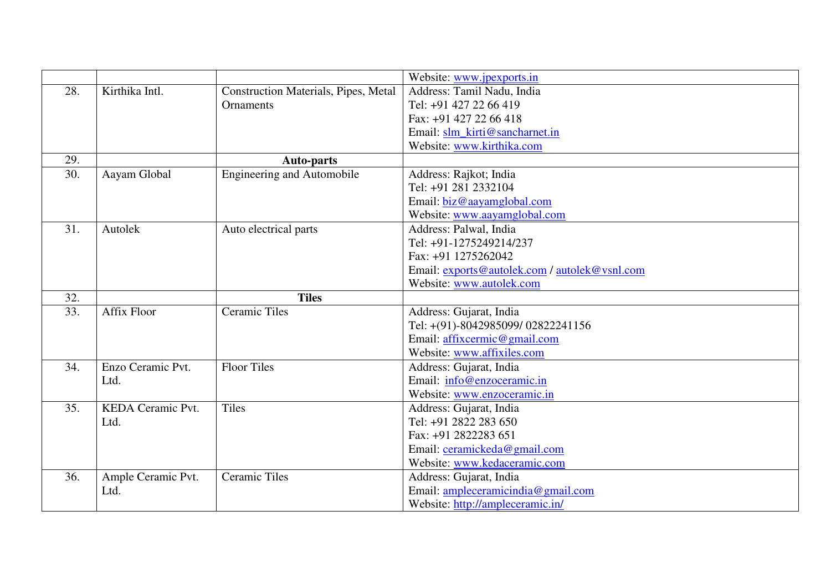|     |                    |                                             | Website: www.jpexports.in                     |
|-----|--------------------|---------------------------------------------|-----------------------------------------------|
| 28. | Kirthika Intl.     | <b>Construction Materials, Pipes, Metal</b> | Address: Tamil Nadu, India                    |
|     |                    | <b>Ornaments</b>                            | Tel: +91 427 22 66 419                        |
|     |                    |                                             | Fax: +91 427 22 66 418                        |
|     |                    |                                             | Email: slm_kirti@sancharnet.in                |
|     |                    |                                             | Website: www.kirthika.com                     |
| 29. |                    | <b>Auto-parts</b>                           |                                               |
| 30. | Aayam Global       | <b>Engineering and Automobile</b>           | Address: Rajkot; India                        |
|     |                    |                                             | Tel: +91 281 2332104                          |
|     |                    |                                             | Email: biz@aayamglobal.com                    |
|     |                    |                                             | Website: www.aayamglobal.com                  |
| 31. | Autolek            | Auto electrical parts                       | Address: Palwal, India                        |
|     |                    |                                             | Tel: +91-1275249214/237                       |
|     |                    |                                             | Fax: +91 1275262042                           |
|     |                    |                                             | Email: exports@autolek.com / autolek@vsnl.com |
|     |                    |                                             | Website: www.autolek.com                      |
| 32. |                    | <b>Tiles</b>                                |                                               |
| 33. | <b>Affix Floor</b> | <b>Ceramic Tiles</b>                        | Address: Gujarat, India                       |
|     |                    |                                             | Tel: +(91)-8042985099/02822241156             |
|     |                    |                                             | Email: affixcermic@gmail.com                  |
|     |                    |                                             | Website: www.affixiles.com                    |
| 34. | Enzo Ceramic Pvt.  | <b>Floor Tiles</b>                          | Address: Gujarat, India                       |
|     | Ltd.               |                                             | Email: info@enzoceramic.in                    |
|     |                    |                                             | Website: www.enzoceramic.in                   |
| 35. | KEDA Ceramic Pvt.  | Tiles                                       | Address: Gujarat, India                       |
|     | Ltd.               |                                             | Tel: +91 2822 283 650                         |
|     |                    |                                             | Fax: +91 2822283 651                          |
|     |                    |                                             | Email: ceramickeda@gmail.com                  |
|     |                    |                                             | Website: www.kedaceramic.com                  |
| 36. | Ample Ceramic Pvt. | <b>Ceramic Tiles</b>                        | Address: Gujarat, India                       |
|     | Ltd.               |                                             | Email: ampleceramicindia@gmail.com            |
|     |                    |                                             | Website: http://ampleceramic.in/              |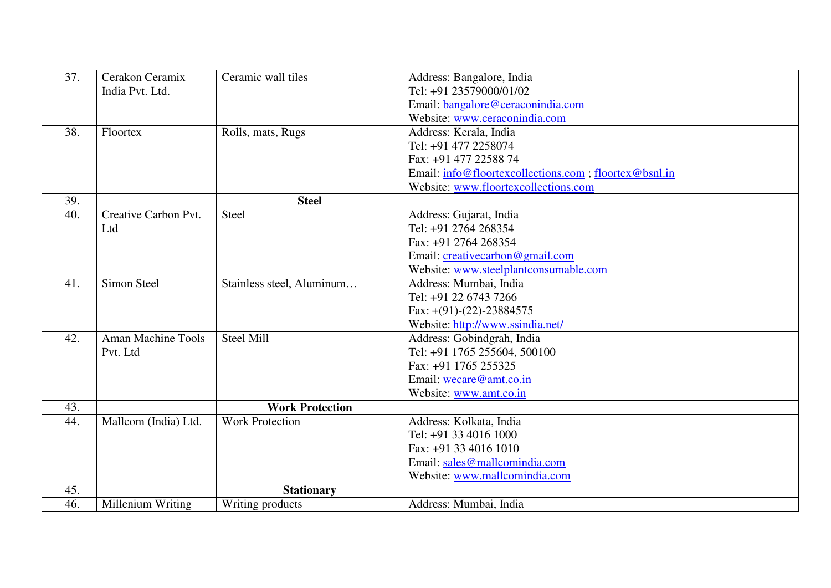| 37. | Cerakon Ceramix           | Ceramic wall tiles        | Address: Bangalore, India                              |
|-----|---------------------------|---------------------------|--------------------------------------------------------|
|     | India Pvt. Ltd.           |                           | Tel: +91 23579000/01/02                                |
|     |                           |                           | Email: bangalore@ceraconindia.com                      |
|     |                           |                           | Website: www.ceraconindia.com                          |
| 38. | Floortex                  | Rolls, mats, Rugs         | Address: Kerala, India                                 |
|     |                           |                           | Tel: +91 477 2258074                                   |
|     |                           |                           | Fax: +91 477 22588 74                                  |
|     |                           |                           | Email: info@floortexcollections.com ; floortex@bsnl.in |
|     |                           |                           | Website: www.floortexcollections.com                   |
| 39. |                           | <b>Steel</b>              |                                                        |
| 40. | Creative Carbon Pvt.      | Steel                     | Address: Gujarat, India                                |
|     | Ltd                       |                           | Tel: +91 2764 268354                                   |
|     |                           |                           | Fax: +91 2764 268354                                   |
|     |                           |                           | Email: creativecarbon@gmail.com                        |
|     |                           |                           | Website: www.steelplantconsumable.com                  |
| 41. | Simon Steel               | Stainless steel, Aluminum | Address: Mumbai, India                                 |
|     |                           |                           | Tel: +91 22 6743 7266                                  |
|     |                           |                           | Fax: $+(91)-(22)-23884575$                             |
|     |                           |                           | Website: http://www.ssindia.net/                       |
| 42. | <b>Aman Machine Tools</b> | <b>Steel Mill</b>         | Address: Gobindgrah, India                             |
|     | Pvt. Ltd                  |                           | Tel: +91 1765 255604, 500100                           |
|     |                           |                           | Fax: +91 1765 255325                                   |
|     |                           |                           | Email: wecare@amt.co.in                                |
|     |                           |                           | Website: www.amt.co.in                                 |
| 43. |                           | <b>Work Protection</b>    |                                                        |
| 44. | Mallcom (India) Ltd.      | <b>Work Protection</b>    | Address: Kolkata, India                                |
|     |                           |                           | Tel: +91 33 4016 1000                                  |
|     |                           |                           | Fax: +91 33 4016 1010                                  |
|     |                           |                           | Email: sales@mallcomindia.com                          |
|     |                           |                           | Website: www.mallcomindia.com                          |
| 45. |                           | <b>Stationary</b>         |                                                        |
| 46. | Millenium Writing         | Writing products          | Address: Mumbai, India                                 |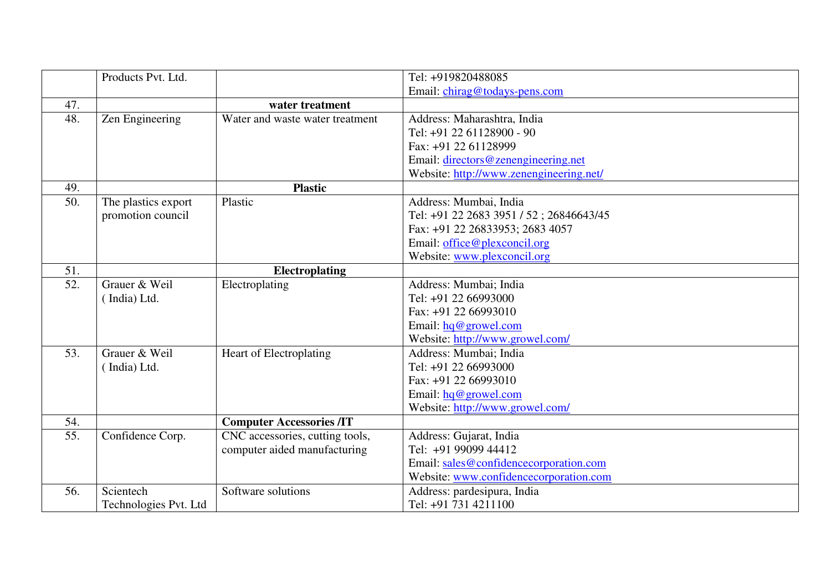|     | Products Pvt. Ltd.    |                                 | Tel: +919820488085                      |
|-----|-----------------------|---------------------------------|-----------------------------------------|
|     |                       |                                 | Email: chirag@todays-pens.com           |
| 47. |                       | water treatment                 |                                         |
| 48. | Zen Engineering       | Water and waste water treatment | Address: Maharashtra, India             |
|     |                       |                                 | Tel: +91 22 61128900 - 90               |
|     |                       |                                 | Fax: +91 22 61128999                    |
|     |                       |                                 | Email: directors@zenengineering.net     |
|     |                       |                                 | Website: http://www.zenengineering.net/ |
| 49. |                       | <b>Plastic</b>                  |                                         |
| 50. | The plastics export   | Plastic                         | Address: Mumbai, India                  |
|     | promotion council     |                                 | Tel: +91 22 2683 3951 / 52; 26846643/45 |
|     |                       |                                 | Fax: +91 22 26833953; 2683 4057         |
|     |                       |                                 | Email: office@plexconcil.org            |
|     |                       |                                 | Website: www.plexconcil.org             |
| 51. |                       | <b>Electroplating</b>           |                                         |
| 52. | Grauer & Weil         | Electroplating                  | Address: Mumbai; India                  |
|     | (India) Ltd.          |                                 | Tel: +91 22 66993000                    |
|     |                       |                                 | Fax: +91 22 66993010                    |
|     |                       |                                 | Email: $hq@$ growel.com                 |
|     |                       |                                 | Website: http://www.growel.com/         |
| 53. | Grauer & Weil         | Heart of Electroplating         | Address: Mumbai; India                  |
|     | (India) Ltd.          |                                 | Tel: +91 22 66993000                    |
|     |                       |                                 | Fax: +91 22 66993010                    |
|     |                       |                                 | Email: $hq@$ growel.com                 |
|     |                       |                                 | Website: http://www.growel.com/         |
| 54. |                       | <b>Computer Accessories /IT</b> |                                         |
| 55. | Confidence Corp.      | CNC accessories, cutting tools, | Address: Gujarat, India                 |
|     |                       | computer aided manufacturing    | Tel: +91 99099 44412                    |
|     |                       |                                 | Email: sales@confidencecorporation.com  |
|     |                       |                                 | Website: www.confidencecorporation.com  |
| 56. | Scientech             | Software solutions              | Address: pardesipura, India             |
|     | Technologies Pvt. Ltd |                                 | Tel: +91 731 4211100                    |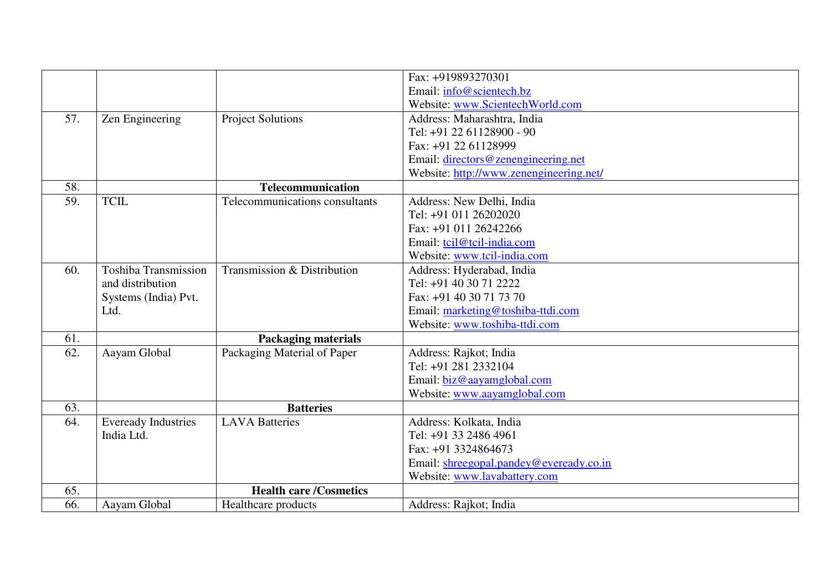|     |                             |                                | Fax: +919893270301                      |
|-----|-----------------------------|--------------------------------|-----------------------------------------|
|     |                             |                                | Email: info@scientech.bz                |
|     |                             |                                | Website: www.ScientechWorld.com         |
| 57. | Zen Engineering             | <b>Project Solutions</b>       | Address: Maharashtra, India             |
|     |                             |                                | Tel: +91 22 61128900 - 90               |
|     |                             |                                | Fax: +91 22 61128999                    |
|     |                             |                                | Email: directors@zenengineering.net     |
|     |                             |                                | Website: http://www.zenengineering.net/ |
| 58. |                             | <b>Telecommunication</b>       |                                         |
| 59. | <b>TCIL</b>                 | Telecommunications consultants | Address: New Delhi, India               |
|     |                             |                                | Tel: +91 011 26202020                   |
|     |                             |                                | Fax: +91 011 26242266                   |
|     |                             |                                | Email: tcil@tcil-india.com              |
|     |                             |                                | Website: www.tcil-india.com             |
| 60. | <b>Toshiba Transmission</b> | Transmission & Distribution    | Address: Hyderabad, India               |
|     | and distribution            |                                | Tel: +91 40 30 71 2222                  |
|     | Systems (India) Pvt.        |                                | Fax: +91 40 30 71 73 70                 |
|     | Ltd.                        |                                | Email: marketing@toshiba-ttdi.com       |
|     |                             |                                | Website: www.toshiba-ttdi.com           |
| 61. |                             | <b>Packaging materials</b>     |                                         |
| 62. | Aayam Global                | Packaging Material of Paper    | Address: Rajkot; India                  |
|     |                             |                                | Tel: +91 281 2332104                    |
|     |                             |                                | Email: biz@aayamglobal.com              |
|     |                             |                                | Website: www.aayamglobal.com            |
| 63. |                             | <b>Batteries</b>               |                                         |
| 64. | <b>Eveready Industries</b>  | <b>LAVA Batteries</b>          | Address: Kolkata, India                 |
|     | India Ltd.                  |                                | Tel: +91 33 2486 4961                   |
|     |                             |                                | Fax: +91 3324864673                     |
|     |                             |                                | Email: shreegopal.pandey@eveready.co.in |
|     |                             |                                | Website: www.lavabattery.com            |
| 65. |                             | <b>Health care /Cosmetics</b>  |                                         |
| 66. | Aayam Global                | Healthcare products            | Address: Rajkot; India                  |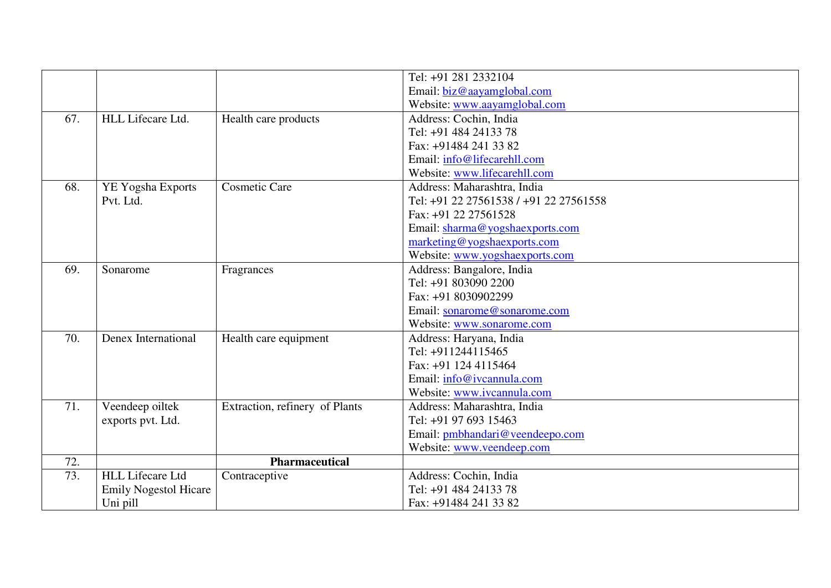|     |                              |                                | Tel: +91 281 2332104                   |
|-----|------------------------------|--------------------------------|----------------------------------------|
|     |                              |                                | Email: biz@aayamglobal.com             |
|     |                              |                                | Website: www.aayamglobal.com           |
| 67. | HLL Lifecare Ltd.            | Health care products           | Address: Cochin, India                 |
|     |                              |                                | Tel: +91 484 24133 78                  |
|     |                              |                                | Fax: +91484 241 33 82                  |
|     |                              |                                | Email: info@lifecarehll.com            |
|     |                              |                                | Website: www.lifecarehll.com           |
| 68. | YE Yogsha Exports            | <b>Cosmetic Care</b>           | Address: Maharashtra, India            |
|     | Pvt. Ltd.                    |                                | Tel: +91 22 27561538 / +91 22 27561558 |
|     |                              |                                | Fax: +91 22 27561528                   |
|     |                              |                                | Email: sharma@yogshaexports.com        |
|     |                              |                                | marketing@yogshaexports.com            |
|     |                              |                                | Website: www.yogshaexports.com         |
| 69. | Sonarome                     | Fragrances                     | Address: Bangalore, India              |
|     |                              |                                | Tel: +91 803090 2200                   |
|     |                              |                                | Fax: +91 8030902299                    |
|     |                              |                                | Email: sonarome@sonarome.com           |
|     |                              |                                | Website: www.sonarome.com              |
| 70. | Denex International          | Health care equipment          | Address: Haryana, India                |
|     |                              |                                | Tel: +911244115465                     |
|     |                              |                                | Fax: +91 124 4115464                   |
|     |                              |                                | Email: info@ivcannula.com              |
|     |                              |                                | Website: www.ivcannula.com             |
| 71. | Veendeep oiltek              | Extraction, refinery of Plants | Address: Maharashtra, India            |
|     | exports pvt. Ltd.            |                                | Tel: +91 97 693 15463                  |
|     |                              |                                | Email: pmbhandari@veendeepo.com        |
|     |                              |                                | Website: www.veendeep.com              |
| 72. |                              | Pharmaceutical                 |                                        |
| 73. | <b>HLL Lifecare Ltd</b>      | Contraceptive                  | Address: Cochin, India                 |
|     | <b>Emily Nogestol Hicare</b> |                                | Tel: +91 484 24133 78                  |
|     | Uni pill                     |                                | Fax: +91484 241 33 82                  |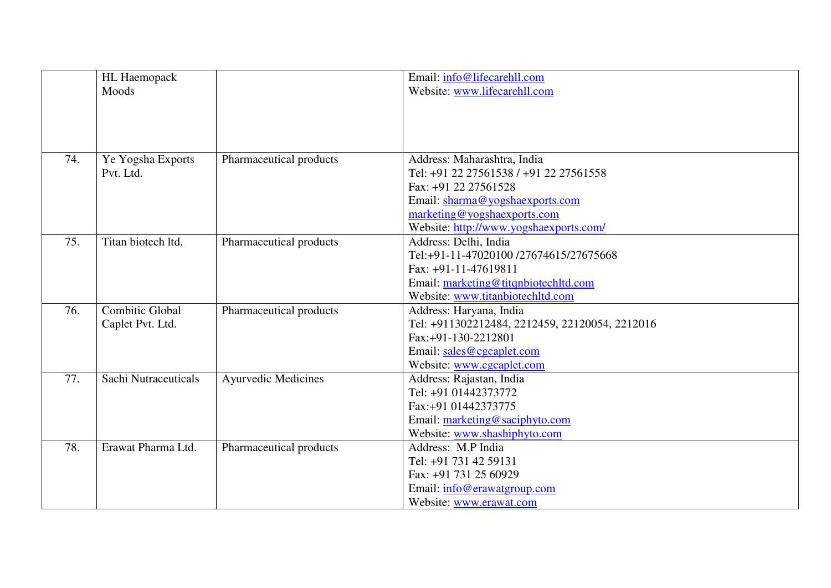|     | HL Haemopack           |                            | Email: info@lifecarehll.com                    |
|-----|------------------------|----------------------------|------------------------------------------------|
|     | Moods                  |                            | Website: www.lifecarehll.com                   |
|     |                        |                            |                                                |
|     |                        |                            |                                                |
|     |                        |                            |                                                |
|     |                        |                            |                                                |
| 74. | Ye Yogsha Exports      | Pharmaceutical products    | Address: Maharashtra, India                    |
|     | Pvt. Ltd.              |                            | Tel: +91 22 27561538 / +91 22 27561558         |
|     |                        |                            | Fax: +91 22 27561528                           |
|     |                        |                            | Email: sharma@yogshaexports.com                |
|     |                        |                            | marketing@yogshaexports.com                    |
|     |                        |                            | Website: http://www.yogshaexports.com/         |
| 75. | Titan biotech ltd.     | Pharmaceutical products    | Address: Delhi, India                          |
|     |                        |                            | Tel:+91-11-47020100 /27674615/27675668         |
|     |                        |                            | Fax: +91-11-47619811                           |
|     |                        |                            | Email: marketing@titqnbiotechltd.com           |
|     |                        |                            | Website: www.titanbiotechltd.com               |
| 76. | <b>Combitic Global</b> | Pharmaceutical products    | Address: Haryana, India                        |
|     | Caplet Pvt. Ltd.       |                            | Tel: +911302212484, 2212459, 22120054, 2212016 |
|     |                        |                            | Fax:+91-130-2212801                            |
|     |                        |                            | Email: sales@cgcaplet.com                      |
|     |                        |                            | Website: www.cgcaplet.com                      |
| 77. | Sachi Nutraceuticals   | <b>Ayurvedic Medicines</b> | Address: Rajastan, India                       |
|     |                        |                            | Tel: +91 01442373772                           |
|     |                        |                            | Fax:+91 01442373775                            |
|     |                        |                            | Email: marketing@saciphyto.com                 |
|     |                        |                            | Website: www.shashiphyto.com                   |
| 78. | Erawat Pharma Ltd.     | Pharmaceutical products    | Address: M.P India                             |
|     |                        |                            | Tel: +91 731 42 59131                          |
|     |                        |                            | Fax: +91 731 25 60929                          |
|     |                        |                            | Email: info@erawatgroup.com                    |
|     |                        |                            | Website: www.erawat.com                        |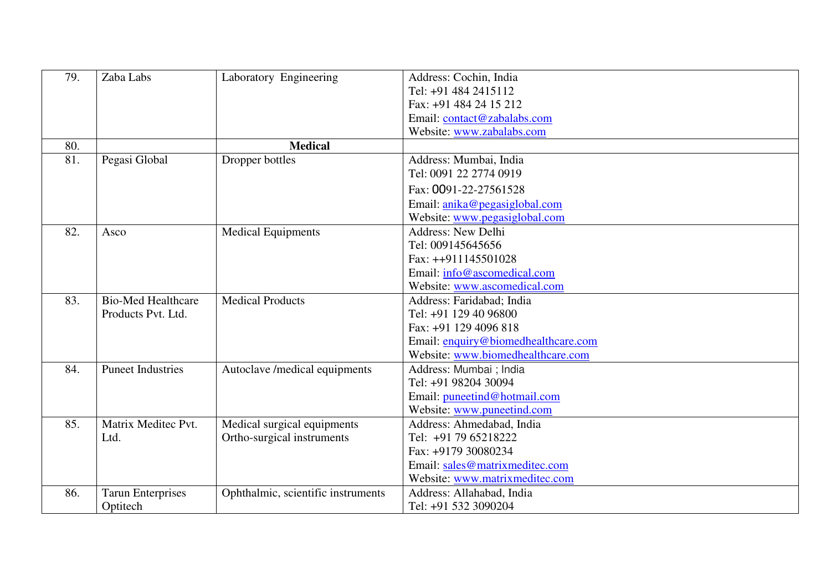| 79. | Zaba Labs                 | Laboratory Engineering             | Address: Cochin, India              |
|-----|---------------------------|------------------------------------|-------------------------------------|
|     |                           |                                    | Tel: +91 484 2415112                |
|     |                           |                                    | Fax: +91 484 24 15 212              |
|     |                           |                                    | Email: contact@zabalabs.com         |
|     |                           |                                    | Website: www.zabalabs.com           |
| 80. |                           | <b>Medical</b>                     |                                     |
| 81. | Pegasi Global             | Dropper bottles                    | Address: Mumbai, India              |
|     |                           |                                    | Tel: 0091 22 2774 0919              |
|     |                           |                                    | Fax: 0091-22-27561528               |
|     |                           |                                    | Email: anika@pegasiglobal.com       |
|     |                           |                                    | Website: www.pegasiglobal.com       |
| 82. | Asco                      | <b>Medical Equipments</b>          | <b>Address: New Delhi</b>           |
|     |                           |                                    | Tel: 009145645656                   |
|     |                           |                                    | Fax: ++911145501028                 |
|     |                           |                                    | Email: info@ascomedical.com         |
|     |                           |                                    | Website: www.ascomedical.com        |
| 83. | <b>Bio-Med Healthcare</b> | <b>Medical Products</b>            | Address: Faridabad; India           |
|     | Products Pvt. Ltd.        |                                    | Tel: +91 129 40 96800               |
|     |                           |                                    | Fax: +91 129 4096 818               |
|     |                           |                                    | Email: enquiry@biomedhealthcare.com |
|     |                           |                                    | Website: www.biomedhealthcare.com   |
| 84. | <b>Puneet Industries</b>  | Autoclave /medical equipments      | Address: Mumbai ; India             |
|     |                           |                                    | Tel: +91 98204 30094                |
|     |                           |                                    | Email: puneetind@hotmail.com        |
|     |                           |                                    | Website: www.puneetind.com          |
| 85. | Matrix Meditec Pvt.       | Medical surgical equipments        | Address: Ahmedabad, India           |
|     | Ltd.                      | Ortho-surgical instruments         | Tel: +91 79 65218222                |
|     |                           |                                    | Fax: +9179 30080234                 |
|     |                           |                                    | Email: sales@matrixmeditec.com      |
|     |                           |                                    | Website: www.matrixmeditec.com      |
| 86. | <b>Tarun Enterprises</b>  | Ophthalmic, scientific instruments | Address: Allahabad, India           |
|     | Optitech                  |                                    | Tel: +91 532 3090204                |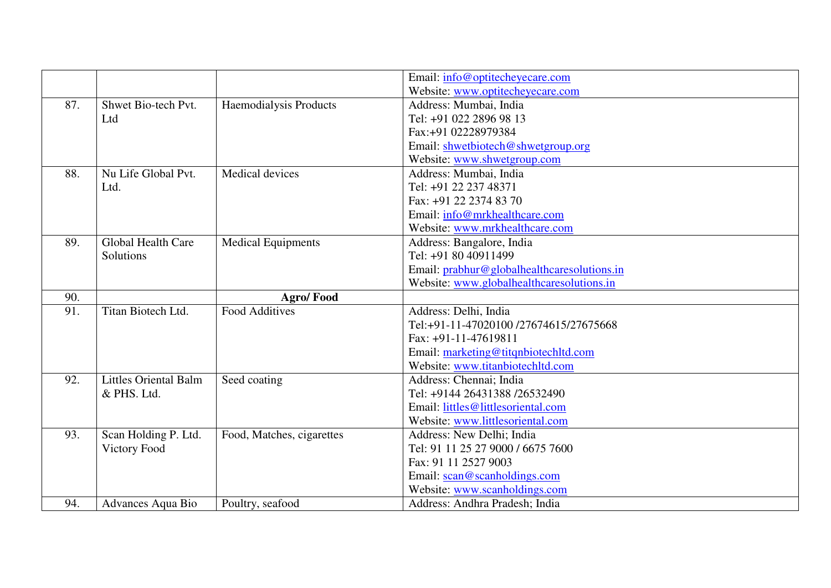|     |                              |                           | Email: info@optitecheyecare.com             |
|-----|------------------------------|---------------------------|---------------------------------------------|
|     |                              |                           | Website: www.optitecheyecare.com            |
| 87. | Shwet Bio-tech Pvt.          | Haemodialysis Products    | Address: Mumbai, India                      |
|     | Ltd                          |                           | Tel: +91 022 2896 98 13                     |
|     |                              |                           | Fax:+91 02228979384                         |
|     |                              |                           | Email: shwetbiotech@shwetgroup.org          |
|     |                              |                           | Website: www.shwetgroup.com                 |
| 88. | Nu Life Global Pvt.          | Medical devices           | Address: Mumbai, India                      |
|     | Ltd.                         |                           | Tel: +91 22 237 48371                       |
|     |                              |                           | Fax: +91 22 2374 83 70                      |
|     |                              |                           | Email: info@mrkhealthcare.com               |
|     |                              |                           | Website: www.mrkhealthcare.com              |
| 89. | Global Health Care           | <b>Medical Equipments</b> | Address: Bangalore, India                   |
|     | Solutions                    |                           | Tel: +91 80 40911499                        |
|     |                              |                           | Email: prabhur@globalhealthcaresolutions.in |
|     |                              |                           | Website: www.globalhealthcaresolutions.in   |
| 90. |                              | <b>Agro/Food</b>          |                                             |
| 91. | Titan Biotech Ltd.           | <b>Food Additives</b>     | Address: Delhi, India                       |
|     |                              |                           | Tel:+91-11-47020100 /27674615/27675668      |
|     |                              |                           | Fax: +91-11-47619811                        |
|     |                              |                           | Email: marketing@titqnbiotechltd.com        |
|     |                              |                           | Website: www.titanbiotechltd.com            |
| 92. | <b>Littles Oriental Balm</b> | Seed coating              | Address: Chennai; India                     |
|     | & PHS. Ltd.                  |                           | Tel: +9144 26431388 /26532490               |
|     |                              |                           | Email: littles@littlesoriental.com          |
|     |                              |                           | Website: www.littlesoriental.com            |
| 93. | Scan Holding P. Ltd.         | Food, Matches, cigarettes | Address: New Delhi; India                   |
|     | Victory Food                 |                           | Tel: 91 11 25 27 9000 / 6675 7600           |
|     |                              |                           | Fax: 91 11 2527 9003                        |
|     |                              |                           | Email: scan@scanholdings.com                |
|     |                              |                           | Website: www.scanholdings.com               |
| 94. | Advances Aqua Bio            | Poultry, seafood          | Address: Andhra Pradesh; India              |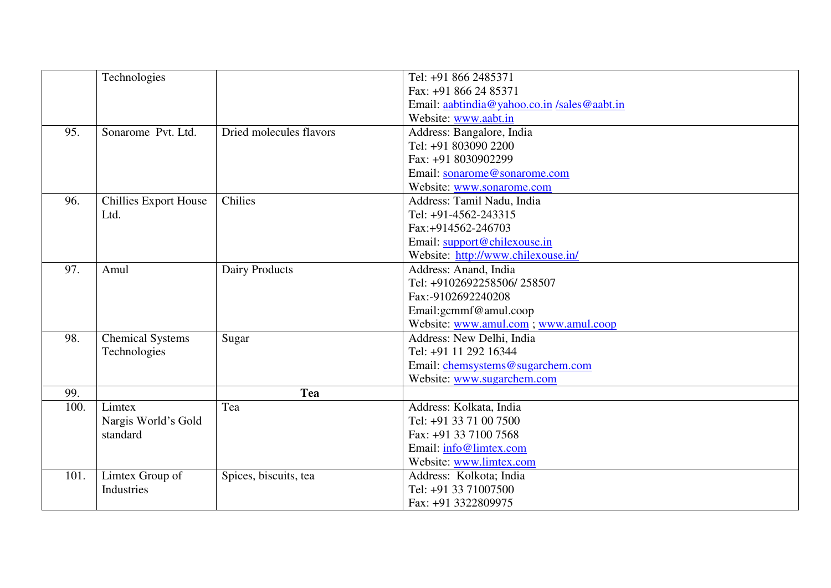|      | Technologies                 |                         | Tel: +91 866 2485371                       |
|------|------------------------------|-------------------------|--------------------------------------------|
|      |                              |                         | Fax: +91 866 24 85371                      |
|      |                              |                         | Email: aabtindia@yahoo.co.in/sales@aabt.in |
|      |                              |                         | Website: www.aabt.in                       |
| 95.  | Sonarome Pvt. Ltd.           | Dried molecules flavors | Address: Bangalore, India                  |
|      |                              |                         | Tel: +91 803090 2200                       |
|      |                              |                         | Fax: +91 8030902299                        |
|      |                              |                         | Email: sonarome@sonarome.com               |
|      |                              |                         | Website: www.sonarome.com                  |
| 96.  | <b>Chillies Export House</b> | Chilies                 | Address: Tamil Nadu, India                 |
|      | Ltd.                         |                         | Tel: +91-4562-243315                       |
|      |                              |                         | Fax:+914562-246703                         |
|      |                              |                         | Email: support@chilexouse.in               |
|      |                              |                         | Website: http://www.chilexouse.in/         |
| 97.  | Amul                         | Dairy Products          | Address: Anand, India                      |
|      |                              |                         | Tel: +9102692258506/258507                 |
|      |                              |                         | Fax:-9102692240208                         |
|      |                              |                         | Email:gcmmf@amul.coop                      |
|      |                              |                         | Website: www.amul.com ; www.amul.coop      |
| 98.  | <b>Chemical Systems</b>      | Sugar                   | Address: New Delhi, India                  |
|      | Technologies                 |                         | Tel: +91 11 292 16344                      |
|      |                              |                         | Email: chemsystems@sugarchem.com           |
|      |                              |                         | Website: www.sugarchem.com                 |
| 99.  |                              | <b>Tea</b>              |                                            |
| 100. | Limtex                       | Tea                     | Address: Kolkata, India                    |
|      | Nargis World's Gold          |                         | Tel: +91 33 71 00 7500                     |
|      | standard                     |                         | Fax: +91 33 7100 7568                      |
|      |                              |                         | Email: info@limtex.com                     |
|      |                              |                         | Website: www.limtex.com                    |
| 101. | Limtex Group of              | Spices, biscuits, tea   | Address: Kolkota; India                    |
|      | Industries                   |                         | Tel: +91 33 71007500                       |
|      |                              |                         | Fax: +91 3322809975                        |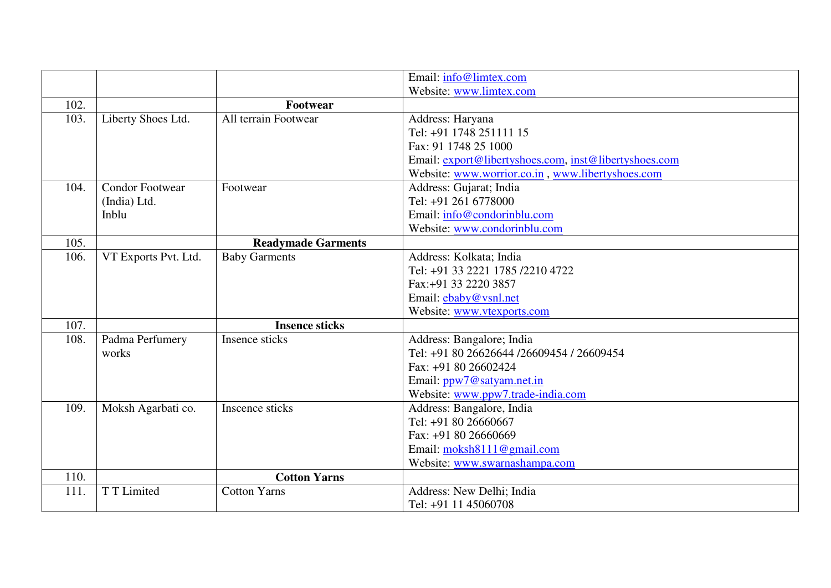|      |                        |                           | Email: info@limtex.com                                |
|------|------------------------|---------------------------|-------------------------------------------------------|
|      |                        |                           | Website: www.limtex.com                               |
| 102. |                        | Footwear                  |                                                       |
| 103. | Liberty Shoes Ltd.     | All terrain Footwear      | Address: Haryana                                      |
|      |                        |                           | Tel: +91 1748 251111 15                               |
|      |                        |                           | Fax: 91 1748 25 1000                                  |
|      |                        |                           | Email: export@libertyshoes.com, inst@libertyshoes.com |
|      |                        |                           | Website: www.worrior.co.in, www.libertyshoes.com      |
| 104. | <b>Condor Footwear</b> | Footwear                  | Address: Gujarat; India                               |
|      | (India) Ltd.           |                           | Tel: +91 261 6778000                                  |
|      | Inblu                  |                           | Email: info@condorinblu.com                           |
|      |                        |                           | Website: www.condorinblu.com                          |
| 105. |                        | <b>Readymade Garments</b> |                                                       |
| 106. | VT Exports Pvt. Ltd.   | <b>Baby Garments</b>      | Address: Kolkata; India                               |
|      |                        |                           | Tel: +91 33 2221 1785 /2210 4722                      |
|      |                        |                           | Fax:+91 33 2220 3857                                  |
|      |                        |                           | Email: ebaby@vsnl.net                                 |
|      |                        |                           | Website: www.vtexports.com                            |
| 107. |                        | <b>Insence sticks</b>     |                                                       |
| 108. | Padma Perfumery        | Insence sticks            | Address: Bangalore; India                             |
|      | works                  |                           | Tel: +91 80 26626644 /26609454 / 26609454             |
|      |                        |                           | Fax: +91 80 26602424                                  |
|      |                        |                           | Email: ppw7@satyam.net.in                             |
|      |                        |                           | Website: www.ppw7.trade-india.com                     |
| 109. | Moksh Agarbati co.     | Inscence sticks           | Address: Bangalore, India                             |
|      |                        |                           | Tel: +91 80 26660667                                  |
|      |                        |                           | Fax: +91 80 26660669                                  |
|      |                        |                           | Email: moksh8111@gmail.com                            |
|      |                        |                           | Website: www.swarnashampa.com                         |
| 110. |                        | <b>Cotton Yarns</b>       |                                                       |
| 111. | T T Limited            | <b>Cotton Yarns</b>       | Address: New Delhi; India                             |
|      |                        |                           | Tel: +91 11 45060708                                  |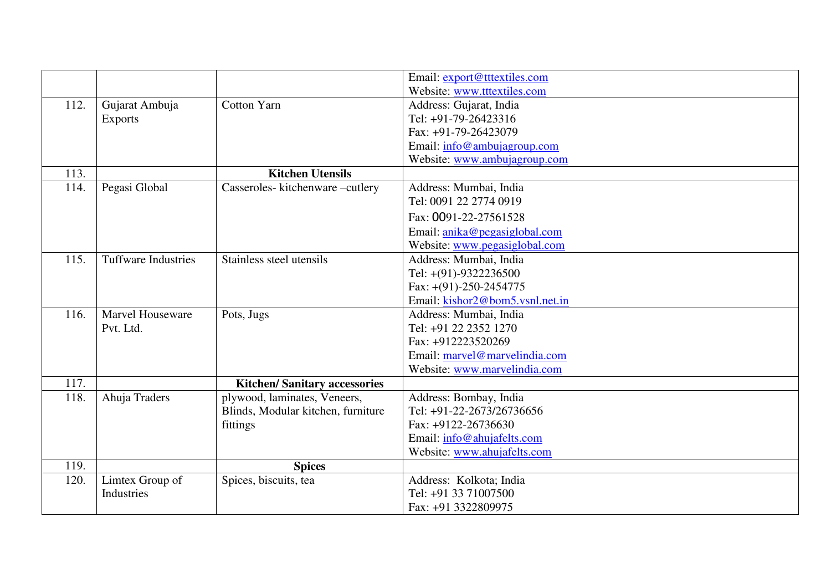|      |                            |                                     | Email: export@tttextiles.com    |
|------|----------------------------|-------------------------------------|---------------------------------|
|      |                            |                                     | Website: www.tttextiles.com     |
| 112. | Gujarat Ambuja             | <b>Cotton Yarn</b>                  | Address: Gujarat, India         |
|      | <b>Exports</b>             |                                     | Tel: +91-79-26423316            |
|      |                            |                                     | Fax: +91-79-26423079            |
|      |                            |                                     | Email: info@ambujagroup.com     |
|      |                            |                                     | Website: www.ambujagroup.com    |
| 113. |                            | <b>Kitchen Utensils</b>             |                                 |
| 114. | Pegasi Global              | Casseroles-kitchenware-cutlery      | Address: Mumbai, India          |
|      |                            |                                     | Tel: 0091 22 2774 0919          |
|      |                            |                                     | Fax: 0091-22-27561528           |
|      |                            |                                     | Email: anika@pegasiglobal.com   |
|      |                            |                                     | Website: www.pegasiglobal.com   |
| 115. | <b>Tuffware Industries</b> | Stainless steel utensils            | Address: Mumbai, India          |
|      |                            |                                     | Tel: +(91)-9322236500           |
|      |                            |                                     | Fax: $+(91)-250-2454775$        |
|      |                            |                                     | Email: kishor2@bom5.vsnl.net.in |
| 116. | Marvel Houseware           | Pots, Jugs                          | Address: Mumbai, India          |
|      | Pvt. Ltd.                  |                                     | Tel: +91 22 2352 1270           |
|      |                            |                                     | Fax: +912223520269              |
|      |                            |                                     | Email: marvel@marvelindia.com   |
|      |                            |                                     | Website: www.marvelindia.com    |
| 117. |                            | <b>Kitchen/Sanitary accessories</b> |                                 |
| 118. | Ahuja Traders              | plywood, laminates, Veneers,        | Address: Bombay, India          |
|      |                            | Blinds, Modular kitchen, furniture  | Tel: +91-22-2673/26736656       |
|      |                            | fittings                            | Fax: +9122-26736630             |
|      |                            |                                     | Email: info@ahujafelts.com      |
|      |                            |                                     | Website: www.ahujafelts.com     |
| 119. |                            | <b>Spices</b>                       |                                 |
| 120. | Limtex Group of            | Spices, biscuits, tea               | Address: Kolkota; India         |
|      | Industries                 |                                     | Tel: +91 33 71007500            |
|      |                            |                                     | Fax: +91 3322809975             |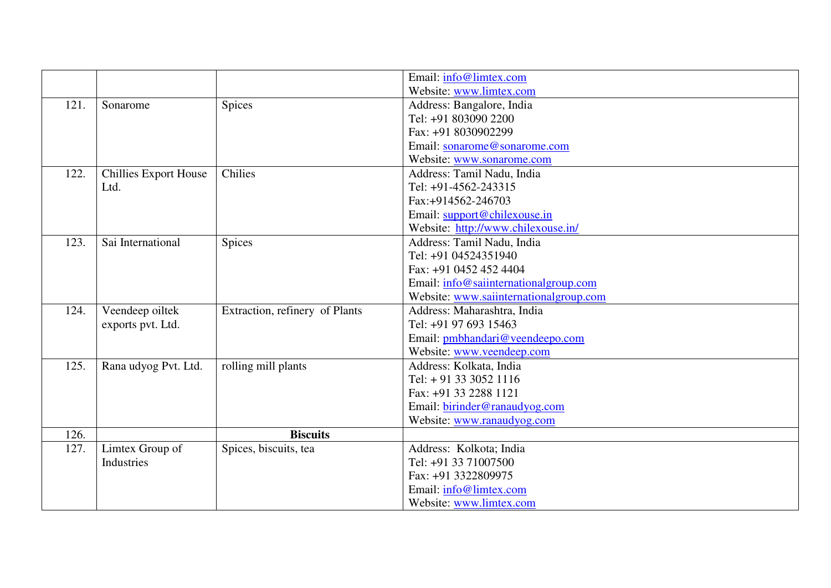|      |                              |                                | Email: info@limtex.com                 |
|------|------------------------------|--------------------------------|----------------------------------------|
|      |                              |                                | Website: www.limtex.com                |
| 121. | Sonarome                     | <b>Spices</b>                  | Address: Bangalore, India              |
|      |                              |                                | Tel: +91 803090 2200                   |
|      |                              |                                | Fax: +91 8030902299                    |
|      |                              |                                | Email: sonarome@sonarome.com           |
|      |                              |                                | Website: www.sonarome.com              |
| 122. | <b>Chillies Export House</b> | Chilies                        | Address: Tamil Nadu, India             |
|      | Ltd.                         |                                | Tel: +91-4562-243315                   |
|      |                              |                                | Fax:+914562-246703                     |
|      |                              |                                | Email: support@chilexouse.in           |
|      |                              |                                | Website: http://www.chilexouse.in/     |
| 123. | Sai International            | <b>Spices</b>                  | Address: Tamil Nadu, India             |
|      |                              |                                | Tel: +91 04524351940                   |
|      |                              |                                | Fax: +91 0452 452 4404                 |
|      |                              |                                | Email: info@saiinternationalgroup.com  |
|      |                              |                                | Website: www.saiinternationalgroup.com |
| 124. | Veendeep oiltek              | Extraction, refinery of Plants | Address: Maharashtra, India            |
|      | exports pvt. Ltd.            |                                | Tel: +91 97 693 15463                  |
|      |                              |                                | Email: pmbhandari@veendeepo.com        |
|      |                              |                                | Website: www.veendeep.com              |
| 125. | Rana udyog Pvt. Ltd.         | rolling mill plants            | Address: Kolkata, India                |
|      |                              |                                | Tel: + 91 33 3052 1116                 |
|      |                              |                                | Fax: +91 33 2288 1121                  |
|      |                              |                                | Email: birinder@ranaudyog.com          |
|      |                              |                                | Website: www.ranaudyog.com             |
| 126. |                              | <b>Biscuits</b>                |                                        |
| 127. | Limtex Group of              | Spices, biscuits, tea          | Address: Kolkota; India                |
|      | Industries                   |                                | Tel: +91 33 71007500                   |
|      |                              |                                | Fax: +91 3322809975                    |
|      |                              |                                | Email: info@limtex.com                 |
|      |                              |                                | Website: www.limtex.com                |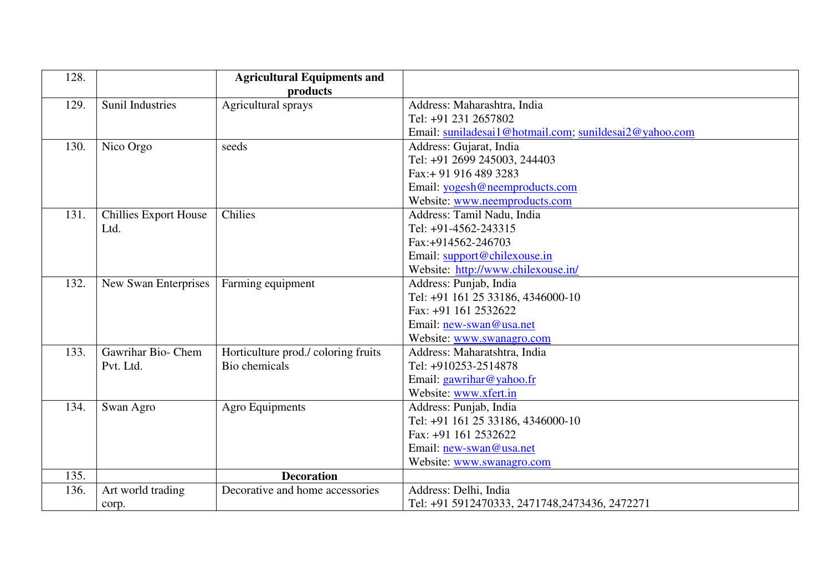| 128. |                              | <b>Agricultural Equipments and</b>  |                                                        |
|------|------------------------------|-------------------------------------|--------------------------------------------------------|
|      |                              | products                            |                                                        |
| 129. | <b>Sunil Industries</b>      | Agricultural sprays                 | Address: Maharashtra, India                            |
|      |                              |                                     | Tel: +91 231 2657802                                   |
|      |                              |                                     | Email: suniladesai1@hotmail.com; sunildesai2@yahoo.com |
| 130. | Nico Orgo                    | seeds                               | Address: Gujarat, India                                |
|      |                              |                                     | Tel: +91 2699 245003, 244403                           |
|      |                              |                                     | Fax: + 91 916 489 3283                                 |
|      |                              |                                     | Email: yogesh@neemproducts.com                         |
|      |                              |                                     | Website: www.neemproducts.com                          |
| 131. | <b>Chillies Export House</b> | Chilies                             | Address: Tamil Nadu, India                             |
|      | Ltd.                         |                                     | Tel: +91-4562-243315                                   |
|      |                              |                                     | Fax:+914562-246703                                     |
|      |                              |                                     | Email: support@chilexouse.in                           |
|      |                              |                                     | Website: http://www.chilexouse.in/                     |
| 132. | New Swan Enterprises         | Farming equipment                   | Address: Punjab, India                                 |
|      |                              |                                     | Tel: +91 161 25 33186, 4346000-10                      |
|      |                              |                                     | Fax: +91 161 2532622                                   |
|      |                              |                                     | Email: new-swan@usa.net                                |
|      |                              |                                     | Website: www.swanagro.com                              |
| 133. | Gawrihar Bio- Chem           | Horticulture prod./ coloring fruits | Address: Maharatshtra, India                           |
|      | Pvt. Ltd.                    | Bio chemicals                       | Tel: +910253-2514878                                   |
|      |                              |                                     | Email: gawrihar@yahoo.fr                               |
|      |                              |                                     | Website: www.xfert.in                                  |
| 134. | Swan Agro                    | <b>Agro Equipments</b>              | Address: Punjab, India                                 |
|      |                              |                                     | Tel: +91 161 25 33186, 4346000-10                      |
|      |                              |                                     | Fax: +91 161 2532622                                   |
|      |                              |                                     | Email: new-swan@usa.net                                |
|      |                              |                                     | Website: www.swanagro.com                              |
| 135. |                              | <b>Decoration</b>                   |                                                        |
| 136. | Art world trading            | Decorative and home accessories     | Address: Delhi, India                                  |
|      | corp.                        |                                     | Tel: +91 5912470333, 2471748, 2473436, 2472271         |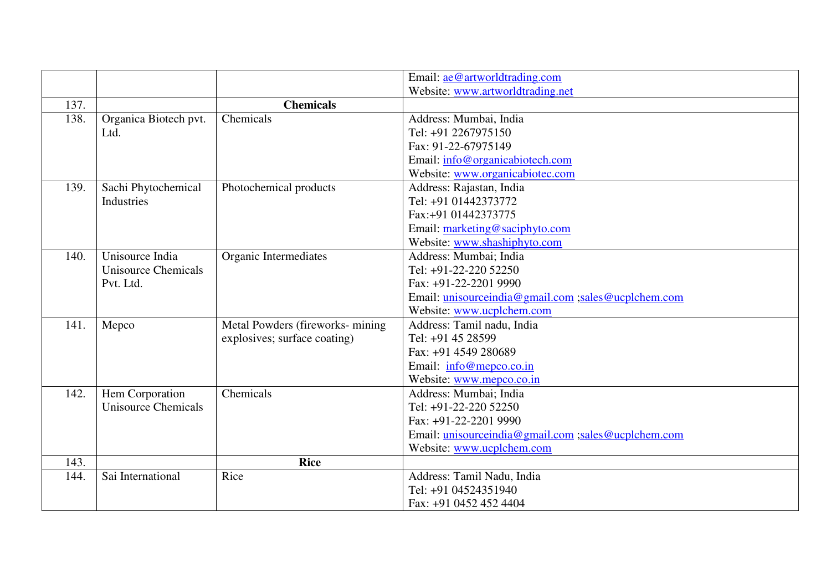|      |                       |                                  | Email: ae@artworldtrading.com                       |
|------|-----------------------|----------------------------------|-----------------------------------------------------|
|      |                       |                                  | Website: www.artworldtrading.net                    |
| 137. |                       | <b>Chemicals</b>                 |                                                     |
| 138. | Organica Biotech pvt. | Chemicals                        | Address: Mumbai, India                              |
|      | Ltd.                  |                                  | Tel: +91 2267975150                                 |
|      |                       |                                  | Fax: 91-22-67975149                                 |
|      |                       |                                  | Email: info@organicabiotech.com                     |
|      |                       |                                  | Website: www.organicabiotec.com                     |
| 139. | Sachi Phytochemical   | Photochemical products           | Address: Rajastan, India                            |
|      | Industries            |                                  | Tel: +91 01442373772                                |
|      |                       |                                  | Fax:+91 01442373775                                 |
|      |                       |                                  | Email: marketing@saciphyto.com                      |
|      |                       |                                  | Website: www.shashiphyto.com                        |
| 140. | Unisource India       | Organic Intermediates            | Address: Mumbai; India                              |
|      | Unisource Chemicals   |                                  | Tel: +91-22-220 52250                               |
|      | Pvt. Ltd.             |                                  | Fax: +91-22-2201 9990                               |
|      |                       |                                  | Email: unisourceindia@gmail.com ;sales@ucplchem.com |
|      |                       |                                  | Website: www.ucplchem.com                           |
| 141. | Mepco                 | Metal Powders (fireworks- mining | Address: Tamil nadu, India                          |
|      |                       | explosives; surface coating)     | Tel: +91 45 28599                                   |
|      |                       |                                  | Fax: +91 4549 280689                                |
|      |                       |                                  | Email: info@mepco.co.in                             |
|      |                       |                                  | Website: www.mepco.co.in                            |
| 142. | Hem Corporation       | Chemicals                        | Address: Mumbai; India                              |
|      | Unisource Chemicals   |                                  | Tel: +91-22-220 52250                               |
|      |                       |                                  | Fax: +91-22-2201 9990                               |
|      |                       |                                  | Email: unisourceindia@gmail.com ;sales@ucplchem.com |
|      |                       |                                  | Website: www.ucplchem.com                           |
| 143. |                       | <b>Rice</b>                      |                                                     |
| 144. | Sai International     | Rice                             | Address: Tamil Nadu, India                          |
|      |                       |                                  | Tel: +91 04524351940                                |
|      |                       |                                  | Fax: +91 0452 452 4404                              |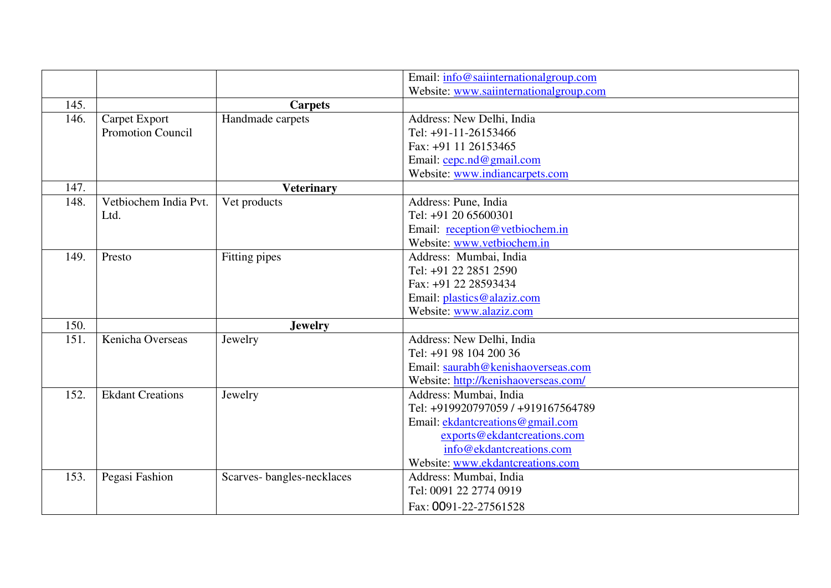|      |                          |                           | Email: info@saiinternationalgroup.com  |
|------|--------------------------|---------------------------|----------------------------------------|
|      |                          |                           | Website: www.saiinternationalgroup.com |
| 145. |                          | <b>Carpets</b>            |                                        |
| 146. | Carpet Export            | Handmade carpets          | Address: New Delhi, India              |
|      | <b>Promotion Council</b> |                           | Tel: +91-11-26153466                   |
|      |                          |                           | Fax: +91 11 26153465                   |
|      |                          |                           | Email: cepc.nd@gmail.com               |
|      |                          |                           | Website: www.indiancarpets.com         |
| 147. |                          | <b>Veterinary</b>         |                                        |
| 148. | Vetbiochem India Pvt.    | Vet products              | Address: Pune, India                   |
|      | Ltd.                     |                           | Tel: +91 20 65600301                   |
|      |                          |                           | Email: reception@vetbiochem.in         |
|      |                          |                           | Website: www.vetbiochem.in             |
| 149. | Presto                   | Fitting pipes             | Address: Mumbai, India                 |
|      |                          |                           | Tel: +91 22 2851 2590                  |
|      |                          |                           | Fax: +91 22 28593434                   |
|      |                          |                           | Email: plastics@alaziz.com             |
|      |                          |                           | Website: www.alaziz.com                |
| 150. |                          | <b>Jewelry</b>            |                                        |
| 151. | Kenicha Overseas         | Jewelry                   | Address: New Delhi, India              |
|      |                          |                           | Tel: +91 98 104 200 36                 |
|      |                          |                           | Email: saurabh@kenishaoverseas.com     |
|      |                          |                           | Website: http://kenishaoverseas.com/   |
| 152. | <b>Ekdant Creations</b>  | Jewelry                   | Address: Mumbai, India                 |
|      |                          |                           | Tel: +919920797059 / +919167564789     |
|      |                          |                           | Email: ekdantcreations@gmail.com       |
|      |                          |                           | exports@ekdantcreations.com            |
|      |                          |                           | info@ekdantcreations.com               |
|      |                          |                           | Website: www.ekdantcreations.com       |
| 153. | Pegasi Fashion           | Scarves-bangles-necklaces | Address: Mumbai, India                 |
|      |                          |                           | Tel: 0091 22 2774 0919                 |
|      |                          |                           | Fax: 0091-22-27561528                  |